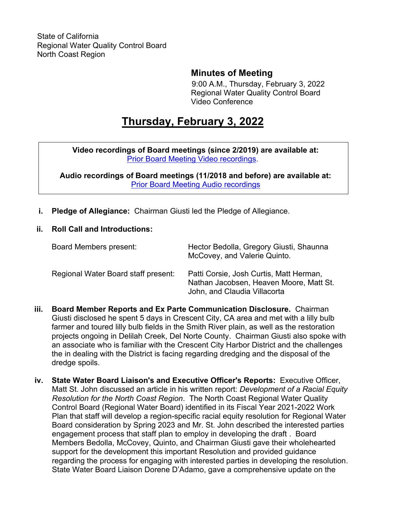### **Minutes of Meeting**

9:00 A.M., Thursday, February 3, 2022 Regional Water Quality Control Board Video Conference

# **Thursday, February 3, 2022**

**Video recordings of Board meetings (since 2/2019) are available at:** [Prior Board Meeting Video recordings](http://cal-span.org/).

**Audio recordings of Board meetings (11/2018 and before) are available at:** [Prior Board Meeting Audio recordings](https://www.waterboards.ca.gov/northcoast/board_info/board_meetings/)

- **i. Pledge of Allegiance:** Chairman Giusti led the Pledge of Allegiance.
- **ii. Roll Call and Introductions:**

| Board Members present:              | Hector Bedolla, Gregory Giusti, Shaunna<br>McCovey, and Valerie Quinto.                                            |
|-------------------------------------|--------------------------------------------------------------------------------------------------------------------|
| Regional Water Board staff present: | Patti Corsie, Josh Curtis, Matt Herman,<br>Nathan Jacobsen, Heaven Moore, Matt St.<br>John, and Claudia Villacorta |

- **iii. Board Member Reports and Ex Parte Communication Disclosure.** Chairman Giusti disclosed he spent 5 days in Crescent City, CA area and met with a lilly bulb farmer and toured lilly bulb fields in the Smith River plain, as well as the restoration projects ongoing in Delilah Creek, Del Norte County. Chairman Giusti also spoke with an associate who is familiar with the Crescent City Harbor District and the challenges the in dealing with the District is facing regarding dredging and the disposal of the dredge spoils.
- **iv. State Water Board Liaison's and Executive Officer's Reports:** Executive Officer, Matt St. John discussed an article in his written report: *Development of a Racial Equity Resolution for the North Coast Region*. The North Coast Regional Water Quality Control Board (Regional Water Board) identified in its Fiscal Year 2021-2022 Work Plan that staff will develop a region-specific racial equity resolution for Regional Water Board consideration by Spring 2023 and Mr. St. John described the interested parties engagement process that staff plan to employ in developing the draft . Board Members Bedolla, McCovey, Quinto, and Chairman Giusti gave their wholehearted support for the development this important Resolution and provided guidance regarding the process for engaging with interested parties in developing the resolution. State Water Board Liaison Dorene D'Adamo, gave a comprehensive update on the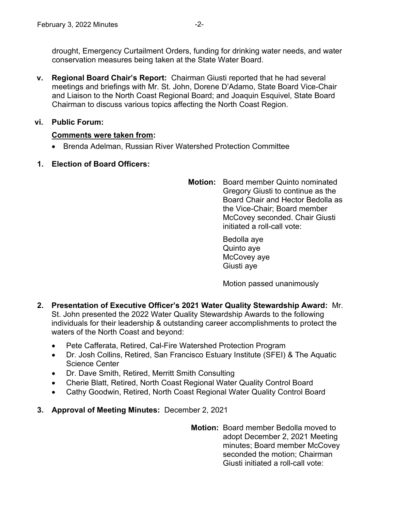drought, Emergency Curtailment Orders, funding for drinking water needs, and water conservation measures being taken at the State Water Board.

**v. Regional Board Chair's Report:** Chairman Giusti reported that he had several meetings and briefings with Mr. St. John, Dorene D'Adamo, State Board Vice-Chair and Liaison to the North Coast Regional Board; and Joaquin Esquivel, State Board Chairman to discuss various topics affecting the North Coast Region.

#### **vi. Public Forum:**

#### **Comments were taken from:**

- · Brenda Adelman, Russian River Watershed Protection Committee
- **1. Election of Board Officers:**
- **Motion:** Board member Quinto nominated Gregory Giusti to continue as the Board Chair and Hector Bedolla as the Vice-Chair; Board member McCovey seconded. Chair Giusti initiated a roll-call vote:

Bedolla aye Quinto aye McCovey aye Giusti aye

Motion passed unanimously

- **2. Presentation of Executive Officer's 2021 Water Quality Stewardship Award:** Mr. St. John presented the 2022 Water Quality Stewardship Awards to the following individuals for their leadership & outstanding career accomplishments to protect the waters of the North Coast and beyond:
	- · Pete Cafferata, Retired, Cal-Fire Watershed Protection Program
	- · Dr. Josh Collins, Retired, San Francisco Estuary Institute (SFEI) & The Aquatic Science Center
	- Dr. Dave Smith, Retired, Merritt Smith Consulting
	- · Cherie Blatt, Retired, North Coast Regional Water Quality Control Board
	- Cathy Goodwin, Retired, North Coast Regional Water Quality Control Board
- **3. Approval of Meeting Minutes:** December 2, 2021

**Motion:** Board member Bedolla moved to adopt December 2, 2021 Meeting minutes; Board member McCovey seconded the motion; Chairman Giusti initiated a roll-call vote: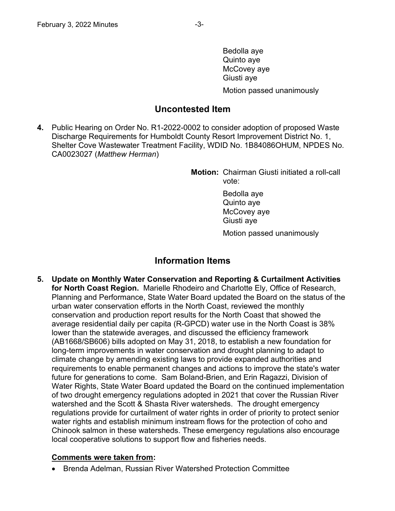Bedolla aye Quinto aye McCovey aye Giusti aye Motion passed unanimously

### **Uncontested Item**

**4.** Public Hearing on Order No. R1-2022-0002 to consider adoption of proposed Waste Discharge Requirements for Humboldt County Resort Improvement District No. 1, Shelter Cove Wastewater Treatment Facility, WDID No. 1B84086OHUM, NPDES No. CA0023027 (*Matthew Herman*)

> **Motion:** Chairman Giusti initiated a roll-call vote:

> > Bedolla aye Quinto aye McCovey aye Giusti aye

Motion passed unanimously

## **Information Items**

**5. Update on Monthly Water Conservation and Reporting & Curtailment Activities for North Coast Region.** Marielle Rhodeiro and Charlotte Ely, Office of Research, Planning and Performance, State Water Board updated the Board on the status of the urban water conservation efforts in the North Coast, reviewed the monthly conservation and production report results for the North Coast that showed the average residential daily per capita (R-GPCD) water use in the North Coast is 38% lower than the statewide averages, and discussed the efficiency framework (AB1668/SB606) bills adopted on May 31, 2018, to establish a new foundation for long-term improvements in water conservation and drought planning to adapt to climate change by amending existing laws to provide expanded authorities and requirements to enable permanent changes and actions to improve the state's water future for generations to come. Sam Boland-Brien, and Erin Ragazzi, Division of Water Rights, State Water Board updated the Board on the continued implementation of two drought emergency regulations adopted in 2021 that cover the Russian River watershed and the Scott & Shasta River watersheds. The drought emergency regulations provide for curtailment of water rights in order of priority to protect senior water rights and establish minimum instream flows for the protection of coho and Chinook salmon in these watersheds. These emergency regulations also encourage local cooperative solutions to support flow and fisheries needs.

### **Comments were taken from:**

· Brenda Adelman, Russian River Watershed Protection Committee